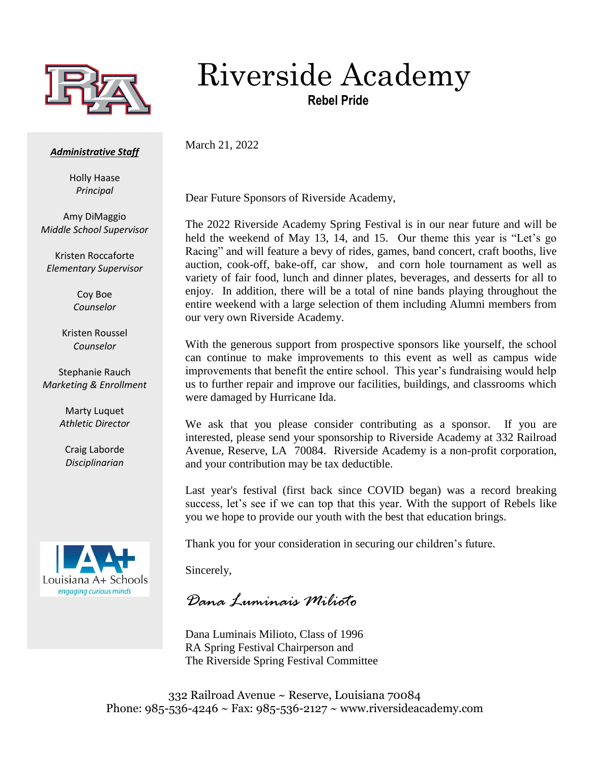

## Riverside Academy

**Rebel Pride**

## *Administrative Staff*

Holly Haase *Principal*

Amy DiMaggio *Middle School Supervisor*

Kristen Roccaforte *Elementary Supervisor*

> Coy Boe *Counselor*

Kristen Roussel *Counselor*

Stephanie Rauch *Marketing & Enrollment*

> Marty Luquet *Athletic Director*

Craig Laborde *Disciplinarian*



Dear Future Sponsors of Riverside Academy,

March 21, 2022

The 2022 Riverside Academy Spring Festival is in our near future and will be held the weekend of May 13, 14, and 15. Our theme this year is "Let's go Racing" and will feature a bevy of rides, games, band concert, craft booths, live auction, cook-off, bake-off, car show, and corn hole tournament as well as variety of fair food, lunch and dinner plates, beverages, and desserts for all to enjoy. In addition, there will be a total of nine bands playing throughout the entire weekend with a large selection of them including Alumni members from our very own Riverside Academy.

With the generous support from prospective sponsors like yourself, the school can continue to make improvements to this event as well as campus wide improvements that benefit the entire school. This year's fundraising would help us to further repair and improve our facilities, buildings, and classrooms which were damaged by Hurricane Ida.

We ask that you please consider contributing as a sponsor. If you are interested, please send your sponsorship to Riverside Academy at 332 Railroad Avenue, Reserve, LA 70084. Riverside Academy is a non-profit corporation, and your contribution may be tax deductible.

Last year's festival (first back since COVID began) was a record breaking success, let's see if we can top that this year. With the support of Rebels like you we hope to provide our youth with the best that education brings.

Thank you for your consideration in securing our children's future.

Sincerely,

*Dana Luminais Milioto*

Dana Luminais Milioto, Class of 1996 RA Spring Festival Chairperson and The Riverside Spring Festival Committee